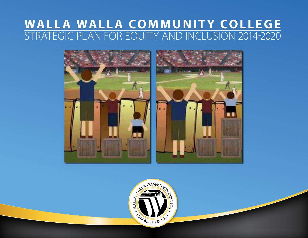# **WALLA WALLA COMMUNITY COLLEGE** STRATEGIC PLAN FOR EQUITY AND INCLUSION 2014-2020



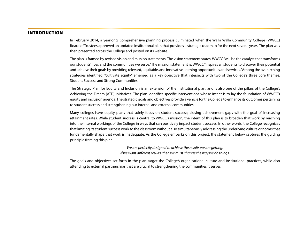# INTRODUCTION

In February 2014, a yearlong, comprehensive planning process culminated when the Walla Walla Community College (WWCC) Board of Trustees approved an updated institutional plan that provides a strategic roadmap for the next several years. The plan was then presented across the College and posted on its website.

The plan is framed by revised vision and mission statements. The vision statement states, WWCC "will be the catalyst that transforms our students' lives and the communities we serve." The mission statement is, WWCC "inspires all students to discover their potential and achieve their goals by providing relevant, equitable, and innovative learning opportunities and services." Among the overarching strategies identified, "cultivate equity" emerged as a key objective that intersects with two of the College's three core themes: Student Success and Strong Communities.

The Strategic Plan for Equity and Inclusion is an extension of the institutional plan, and is also one of the pillars of the College's Achieving the Dream (ATD) initiatives. The plan identifies specific interventions whose intent is to lay the foundation of WWCC's equity and inclusion agenda. The strategic goals and objectives provide a vehicle for the College to enhance its outcomes pertaining to student success and strengthening our internal and external communities.

Many colleges have equity plans that solely focus on student success; closing achievement gaps with the goal of increasing attainment rates. While student success is central to WWCC's mission, the intent of this plan is to broaden that work by reaching into the internal workings of the College in ways that can positively impact student success. In other words, the College recognizes that limiting its student success work to the classroom without also simultaneously addressing the underlying culture or norms that fundamentally shape that work is inadequate. As the College embarks on this project, the statement below captures the guiding principle framing this plan:

> *We are perfectly designed to achieve the results we are getting. If we want different results, then we must change the way we do things.*

The goals and objectives set forth in the plan target the College's organizational culture and institutional practices, while also attending to external partnerships that are crucial to strengthening the communities it serves.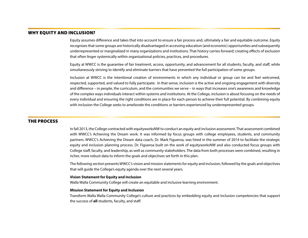# WHY EQUITY AND INCLUSION?

Equity assumes difference and takes that into account to ensure a fair process and, ultimately a fair and equitable outcome. Equity recognizes that some groups are historically disadvantaged in accessing education (and economic) opportunities and subsequently underrepresented or marginalized in many organizations and institutions. That history carries forward; creating effects of exclusion that often linger systemically within organizational policies, practices, and procedures.

Equity at WWCC is the guarantee of fair treatment, access, opportunity, and advancement for all students, faculty, and staff, while simultaneously striving to identify and eliminate barriers that have prevented the full participation of some groups.

Inclusion at WWCC is the intentional creation of environments in which any individual or group can be and feel welcomed, respected, supported, and valued to fully participate. In that sense, inclusion is the active and ongoing engagement with diversity and difference – in people, the curriculum, and the communities we serve – in ways that increases one's awareness and knowledge of the complex ways individuals interact within systems and institutions. At the College, inclusion is about focusing on the needs of every individual and ensuring the right conditions are in place for each person to achieve their full potential. By combining equity with inclusion the College seeks to ameliorate the conditions or barriers experienced by underrepresented groups.

# THE PROCESS

In fall 2013, the College contracted with equityworksNW to conduct an equity and inclusion assessment. That assessment combined with WWCC's Achieving the Dream work. It was informed by focus groups with college employees, students, and community partners. WWCC's Achieving the Dream data coach, Dr. Mark Figueroa, was hired in the summer of 2014 to facilitate the strategic equity and inclusion planning process. Dr. Figueroa built on the work of equityworksNW and also conducted focus groups with College staff, faculty, and leadership, as well as community stakeholders. The data from both processes were combined, resulting in richer, more robust data to inform the goals and objectives set forth in this plan.

The following section presents WWCC's vision and mission statements for equity and inclusion, followed by the goals and objectives that will guide the College's equity agenda over the next several years.

#### **Vision Statement for Equity and Inclusion**

Walla Walla Community College will create an equitable and inclusive learning environment.

#### **Mission Statement for Equity and Inclusion**

Transform Walla Walla Community College's culture and practices by embedding equity and inclusion competencies that support the success of **all** students, faculty, and staff.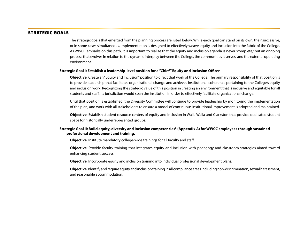# STRATEGIC GOALS

The strategic goals that emerged from the planning process are listed below. While each goal can stand on its own, their successive, or in some cases simultaneous, implementation is designed to effectively weave equity and inclusion into the fabric of the College. As WWCC embarks on this path, it is important to realize that the equity and inclusion agenda is never "complete," but an ongoing process that evolves in relation to the dynamic interplay between the College, the communities it serves, and the external operating environment.

#### **Strategic Goal I: Establish a leadership-level position for a "Chief" Equity and Inclusion Officer**

**Objective**: Create an "Equity and Inclusion" position to direct that work of the College. The primary responsibility of that position is to provide leadership that facilitates organizational change and achieves institutional coherence pertaining to the College's equity and inclusion work. Recognizing the strategic value of this position in creating an environment that is inclusive and equitable for all students and staff, its jurisdiction would span the institution in order to effectively facilitate organizational change.

Until that position is established, the Diversity Committee will continue to provide leadership by monitoring the implementation of the plan, and work with all stakeholders to ensure a model of continuous institutional improvement is adopted and maintained.

**Objective**: Establish student resource centers of equity and inclusion in Walla Walla and Clarkston that provide dedicated student space for historically underrepresented groups.

#### **Strategic Goal II: Build equity, diversity and inclusion competenciesi (Appendix A) for WWCC employees through sustained professional development and training.**

**Objective**: Institute mandatory college-wide trainings for all faculty and staff.

**Objective**: Provide faculty training that integrates equity and inclusion with pedagogy and classroom strategies aimed toward enhancing student success

**Objective**: Incorporate equity and inclusion training into individual professional development plans.

**Objective**: Identify and require equity and inclusion training in all compliance areas including non-discrimination, sexual harassment, and reasonable accommodation.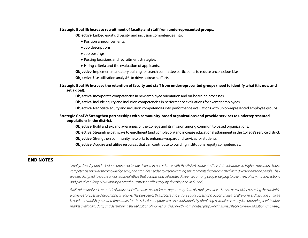#### **Strategic Goal III: Increase recruitment of faculty and staff from underrepresented groups.**

**Objective:** Embed equity, diversity, and inclusion competencies into:

- **•** Position announcements.
- **•** Job descriptions.
- **•** Job postings.
- **•** Posting locations and recruitment strategies.
- **•** Hiring criteria and the evaluation of applicants.

**Objective**: Implement mandatory training for search committee participants to reduce unconscious bias.

**Objective:** Use utilization analysis<sup>ii</sup> to drive outreach efforts.

#### **Strategic Goal IV: Increase the retention of faculty and staff from underrepresented groups (need to identify what it is now and set a goal).**

**Objective**: Incorporate competencies in new employee orientation and on-boarding processes.

**Objective**: Include equity and inclusion competencies in performance evaluations for exempt employees.

**Objective**: Negotiate equity and inclusion competencies into performance evaluations with union-represented employee groups.

## **Strategic Goal V: Strengthen partnerships with community-based organizations and provide services to underrepresented populations in the district.**

**Objective**: Build and expand awareness of the College and its mission among community-based organizations.

**Objective**: Streamline pathways to enrollment (and completion) and increase educational attainment in the College's service district.

**Objective**: Strengthen community networks to enhance wraparound services for students.

**Objective**: Acquire and utilize resources that can contribute to building institutional equity competencies.

# END NOTES

<sup>i</sup> Equity, diversity and inclusion competencies are defined in accordance with the NASPA: Student Affairs Administrators in Higher Education. Those *competencies include the "knowledge, skills, and attitudes needed to create learning environments that are enriched with diverse views and people. They are also designed to create an institutional ethos that accepts and celebrates differences among people, helping to free them of any misconceptions and prejudices" (https://www.naspa.org/about/student-affairs/equity-diversity-and-inclusion).*

*iiUtilization analysis is a statistical analysis of affirmative action/equal opportunity data of employers which is used as a tool for assessing the available workforce for specified geographical regions. The purpose of this process is to ensure equal access and opportunities for all workers. Utilization analysis is used to establish goals and time tables for the selection of protected class individuals by obtaining a workforce analysis, comparing it with labor market availability data, and determining the utilization of women and racial/ethnic minorities (http://definitions.uslegal.com/u/utilization-analysis/).*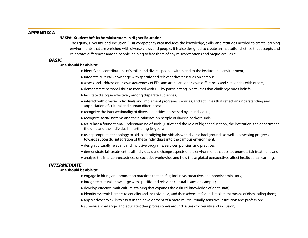## APPENDIX A

#### **NASPA: Student Affairs Administrators in Higher Education**

The Equity, Diversity, and Inclusion (EDI) competency area includes the knowledge, skills, and attitudes needed to create learning environments that are enriched with diverse views and people. It is also designed to create an institutional ethos that accepts and celebrates differences among people, helping to free them of any misconceptions and prejudices.Basic

# *BASIC*

#### **One should be able to:**

- identify the contributions of similar and diverse people within and to the institutional environment;
- **•** integrate cultural knowledge with specific and relevant diverse issues on campus;
- **•** assess and address one's own awareness of EDI, and articulate one's own differences and similarities with others;
- **•** demonstrate personal skills associated with EDI by participating in activities that challenge one's beliefs;
- **•** facilitate dialogue effectively among disparate audiences;
- **•** interact with diverse individuals and implement programs, services, and activities that reflect an understanding and appreciation of cultural and human differences;
- **•** recognize the intersectionality of diverse identities possessed by an individual;
- **•** recognize social systems and their influence on people of diverse backgrounds;
- **•** articulate a foundational understanding of social justice and the role of higher education, the institution, the department, the unit, and the individual in furthering its goals;
- **•** use appropriate technology to aid in identifying individuals with diverse backgrounds as well as assessing progress towards successful integration of these individuals into the campus environment;
- **•** design culturally relevant and inclusive programs, services, policies, and practices;
- **•** demonstrate fair treatment to all individuals and change aspects of the environment that do not promote fair treatment; and
- **•** analyze the interconnectedness of societies worldwide and how these global perspectives affect institutional learning.

### *INTERMEDIATE*

#### **One should be able to:**

- **•** engage in hiring and promotion practices that are fair, inclusive, proactive, and nondiscriminatory;
- **•** integrate cultural knowledge with specific and relevant cultural issues on campus;
- **•** develop effective multicultural training that expands the cultural knowledge of one's staff;
- **•** identify systemic barriers to equality and inclusiveness, and then advocate for and implement means of dismantling them;
- **•** apply advocacy skills to assist in the development of a more multiculturally sensitive institution and profession;
- **•** supervise, challenge, and educate other professionals around issues of diversity and inclusion;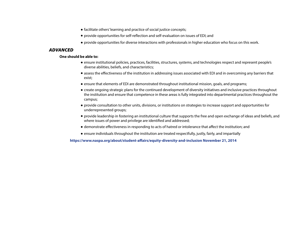- **•** facilitate others' learning and practice of social justice concepts;
- **•** provide opportunities for self-reflection and self-evaluation on issues of EDI; and
- **•** provide opportunities for diverse interactions with professionals in higher education who focus on this work.

# *ADVANCED*

#### **One should be able to:**

- **•** ensure institutional policies, practices, facilities, structures, systems, and technologies respect and represent people's diverse abilities, beliefs, and characteristics;
- **•** assess the effectiveness of the institution in addressing issues associated with EDI and in overcoming any barriers that exist;
- **•** ensure that elements of EDI are demonstrated throughout institutional mission, goals, and programs;
- **•** create ongoing strategic plans for the continued development of diversity initiatives and inclusive practices throughout the institution and ensure that competence in these areas is fully integrated into departmental practices throughout the campus;
- **•** provide consultation to other units, divisions, or institutions on strategies to increase support and opportunities for underrepresented groups;
- **•** provide leadership in fostering an institutional culture that supports the free and open exchange of ideas and beliefs, and where issues of power and privilege are identified and addressed;
- **•** demonstrate effectiveness in responding to acts of hatred or intolerance that affect the institution; and
- **•** ensure individuals throughout the institution are treated respectfully, justly, fairly, and impartially

**https://www.naspa.org/about/student-affairs/equity-diversity-and-inclusion November 21, 2014**